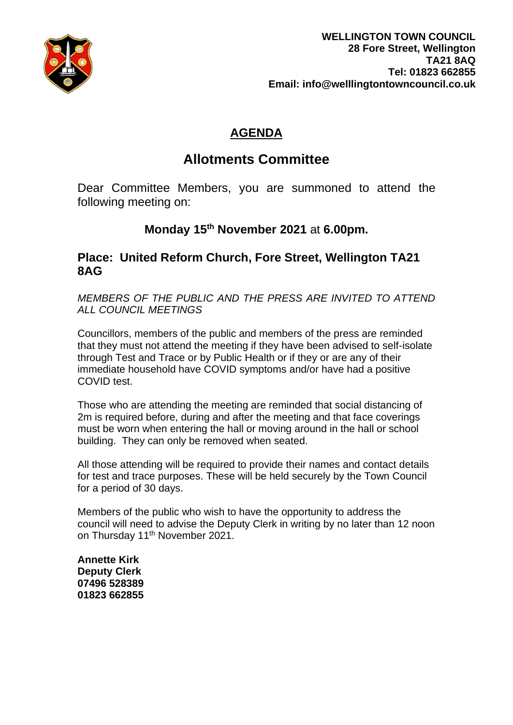

## **AGENDA**

# **Allotments Committee**

Dear Committee Members, you are summoned to attend the following meeting on:

## **Monday 15th November 2021** at **6.00pm.**

## **Place: United Reform Church, Fore Street, Wellington TA21 8AG**

*MEMBERS OF THE PUBLIC AND THE PRESS ARE INVITED TO ATTEND ALL COUNCIL MEETINGS*

Councillors, members of the public and members of the press are reminded that they must not attend the meeting if they have been advised to self-isolate through Test and Trace or by Public Health or if they or are any of their immediate household have COVID symptoms and/or have had a positive COVID test.

Those who are attending the meeting are reminded that social distancing of 2m is required before, during and after the meeting and that face coverings must be worn when entering the hall or moving around in the hall or school building. They can only be removed when seated.

All those attending will be required to provide their names and contact details for test and trace purposes. These will be held securely by the Town Council for a period of 30 days.

Members of the public who wish to have the opportunity to address the council will need to advise the Deputy Clerk in writing by no later than 12 noon on Thursday 11<sup>th</sup> November 2021.

**Annette Kirk Deputy Clerk 07496 528389 01823 662855**